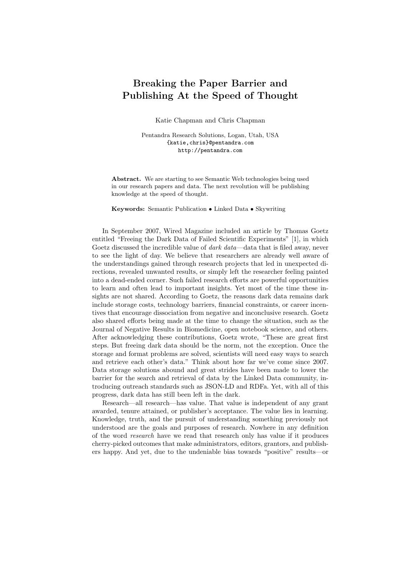## Breaking the Paper Barrier and Publishing At the Speed of Thought

Katie Chapman and Chris Chapman

Pentandra Research Solutions, Logan, Utah, USA {katie,chris}@pentandra.com http://pentandra.com

Abstract. We are starting to see Semantic Web technologies being used in our research papers and data. The next revolution will be publishing knowledge at the speed of thought.

Keywords: Semantic Publication • Linked Data • Skywriting

In September 2007, Wired Magazine included an article by Thomas Goetz entitled "Freeing the Dark Data of Failed Scientific Experiments" [1], in which Goetz discussed the incredible value of *dark data*—data that is filed away, never to see the light of day. We believe that researchers are already well aware of the understandings gained through research projects that led in unexpected directions, revealed unwanted results, or simply left the researcher feeling painted into a dead-ended corner. Such failed research efforts are powerful opportunities to learn and often lead to important insights. Yet most of the time these insights are not shared. According to Goetz, the reasons dark data remains dark include storage costs, technology barriers, financial constraints, or career incentives that encourage dissociation from negative and inconclusive research. Goetz also shared efforts being made at the time to change the situation, such as the Journal of Negative Results in Biomedicine, open notebook science, and others. After acknowledging these contributions, Goetz wrote, "These are great first steps. But freeing dark data should be the norm, not the exception. Once the storage and format problems are solved, scientists will need easy ways to search and retrieve each other's data." Think about how far we've come since 2007. Data storage solutions abound and great strides have been made to lower the barrier for the search and retrieval of data by the Linked Data community, introducing outreach standards such as JSON-LD and RDFa. Yet, with all of this progress, dark data has still been left in the dark.

Research—all research—has value. That value is independent of any grant awarded, tenure attained, or publisher's acceptance. The value lies in learning. Knowledge, truth, and the pursuit of understanding something previously not understood are the goals and purposes of research. Nowhere in any definition of the word research have we read that research only has value if it produces cherry-picked outcomes that make administrators, editors, grantors, and publishers happy. And yet, due to the undeniable bias towards "positive" results—or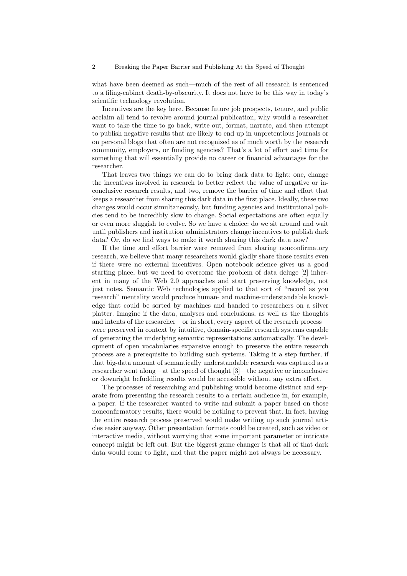## 2 Breaking the Paper Barrier and Publishing At the Speed of Thought

what have been deemed as such—much of the rest of all research is sentenced to a filing-cabinet death-by-obscurity. It does not have to be this way in today's scientific technology revolution.

Incentives are the key here. Because future job prospects, tenure, and public acclaim all tend to revolve around journal publication, why would a researcher want to take the time to go back, write out, format, narrate, and then attempt to publish negative results that are likely to end up in unpretentious journals or on personal blogs that often are not recognized as of much worth by the research community, employers, or funding agencies? That's a lot of effort and time for something that will essentially provide no career or financial advantages for the researcher.

That leaves two things we can do to bring dark data to light: one, change the incentives involved in research to better reflect the value of negative or inconclusive research results, and two, remove the barrier of time and effort that keeps a researcher from sharing this dark data in the first place. Ideally, these two changes would occur simultaneously, but funding agencies and institutional policies tend to be incredibly slow to change. Social expectations are often equally or even more sluggish to evolve. So we have a choice: do we sit around and wait until publishers and institution administrators change incentives to publish dark data? Or, do we find ways to make it worth sharing this dark data now?

If the time and effort barrier were removed from sharing nonconfirmatory research, we believe that many researchers would gladly share those results even if there were no external incentives. Open notebook science gives us a good starting place, but we need to overcome the problem of data deluge [2] inherent in many of the Web 2.0 approaches and start preserving knowledge, not just notes. Semantic Web technologies applied to that sort of "record as you research" mentality would produce human- and machine-understandable knowledge that could be sorted by machines and handed to researchers on a silver platter. Imagine if the data, analyses and conclusions, as well as the thoughts and intents of the researcher—or in short, every aspect of the research process were preserved in context by intuitive, domain-specific research systems capable of generating the underlying semantic representations automatically. The development of open vocabularies expansive enough to preserve the entire research process are a prerequisite to building such systems. Taking it a step further, if that big-data amount of semantically understandable research was captured as a researcher went along—at the speed of thought [3]—the negative or inconclusive or downright befuddling results would be accessible without any extra effort.

The processes of researching and publishing would become distinct and separate from presenting the research results to a certain audience in, for example, a paper. If the researcher wanted to write and submit a paper based on those nonconfirmatory results, there would be nothing to prevent that. In fact, having the entire research process preserved would make writing up such journal articles easier anyway. Other presentation formats could be created, such as video or interactive media, without worrying that some important parameter or intricate concept might be left out. But the biggest game changer is that all of that dark data would come to light, and that the paper might not always be necessary.